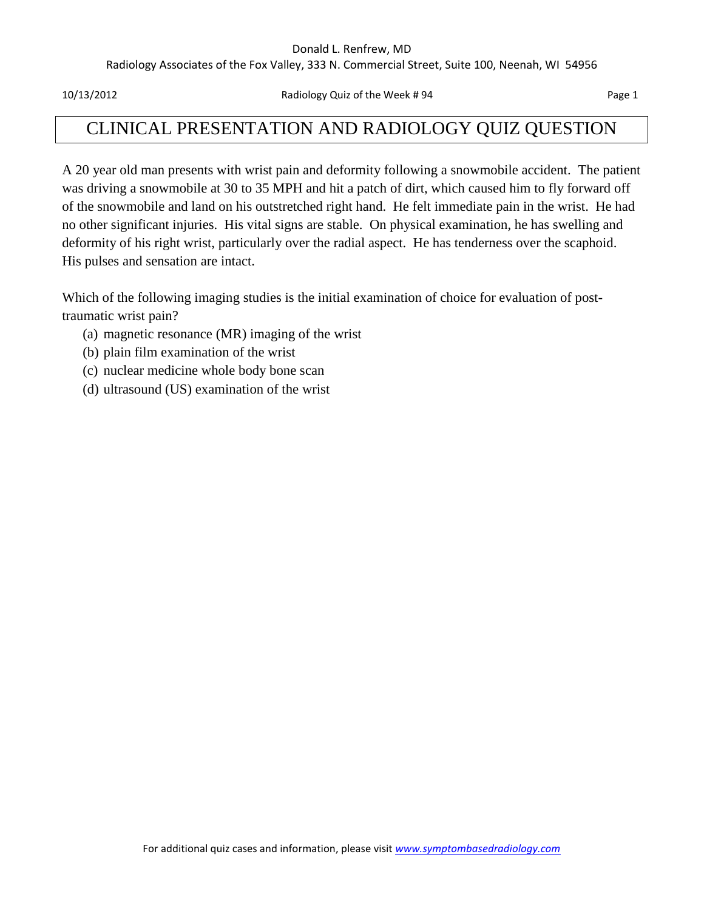#### Donald L. Renfrew, MD

Radiology Associates of the Fox Valley, 333 N. Commercial Street, Suite 100, Neenah, WI 54956

10/13/2012 Radiology Quiz of the Week # 94 Page 1

# CLINICAL PRESENTATION AND RADIOLOGY QUIZ QUESTION

A 20 year old man presents with wrist pain and deformity following a snowmobile accident. The patient was driving a snowmobile at 30 to 35 MPH and hit a patch of dirt, which caused him to fly forward off of the snowmobile and land on his outstretched right hand. He felt immediate pain in the wrist. He had no other significant injuries. His vital signs are stable. On physical examination, he has swelling and deformity of his right wrist, particularly over the radial aspect. He has tenderness over the scaphoid. His pulses and sensation are intact.

Which of the following imaging studies is the initial examination of choice for evaluation of posttraumatic wrist pain?

- (a) magnetic resonance (MR) imaging of the wrist
- (b) plain film examination of the wrist
- (c) nuclear medicine whole body bone scan
- (d) ultrasound (US) examination of the wrist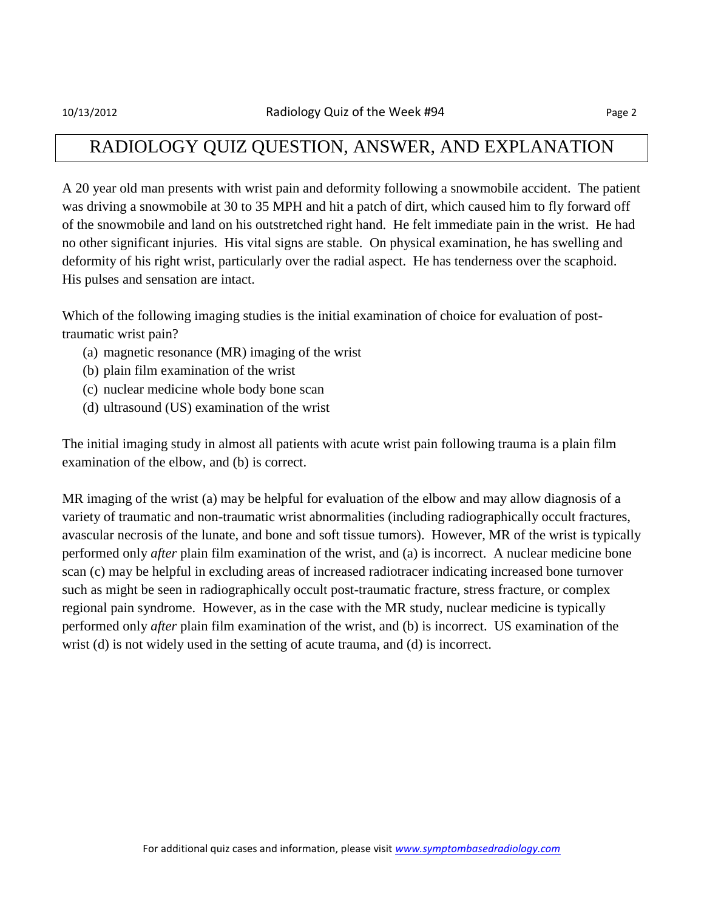## RADIOLOGY QUIZ QUESTION, ANSWER, AND EXPLANATION

A 20 year old man presents with wrist pain and deformity following a snowmobile accident. The patient was driving a snowmobile at 30 to 35 MPH and hit a patch of dirt, which caused him to fly forward off of the snowmobile and land on his outstretched right hand. He felt immediate pain in the wrist. He had no other significant injuries. His vital signs are stable. On physical examination, he has swelling and deformity of his right wrist, particularly over the radial aspect. He has tenderness over the scaphoid. His pulses and sensation are intact.

Which of the following imaging studies is the initial examination of choice for evaluation of posttraumatic wrist pain?

- (a) magnetic resonance (MR) imaging of the wrist
- (b) plain film examination of the wrist
- (c) nuclear medicine whole body bone scan
- (d) ultrasound (US) examination of the wrist

The initial imaging study in almost all patients with acute wrist pain following trauma is a plain film examination of the elbow, and (b) is correct.

MR imaging of the wrist (a) may be helpful for evaluation of the elbow and may allow diagnosis of a variety of traumatic and non-traumatic wrist abnormalities (including radiographically occult fractures, avascular necrosis of the lunate, and bone and soft tissue tumors). However, MR of the wrist is typically performed only *after* plain film examination of the wrist, and (a) is incorrect. A nuclear medicine bone scan (c) may be helpful in excluding areas of increased radiotracer indicating increased bone turnover such as might be seen in radiographically occult post-traumatic fracture, stress fracture, or complex regional pain syndrome. However, as in the case with the MR study, nuclear medicine is typically performed only *after* plain film examination of the wrist, and (b) is incorrect. US examination of the wrist (d) is not widely used in the setting of acute trauma, and (d) is incorrect.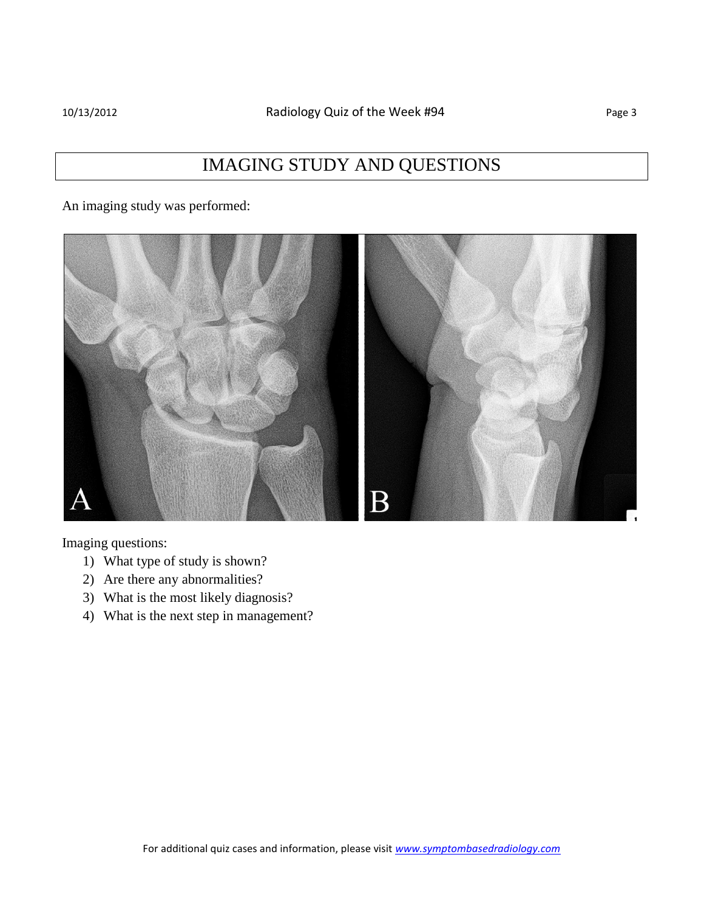An imaging study was performed:



Imaging questions:

- 1) What type of study is shown?
- 2) Are there any abnormalities?
- 3) What is the most likely diagnosis?
- 4) What is the next step in management?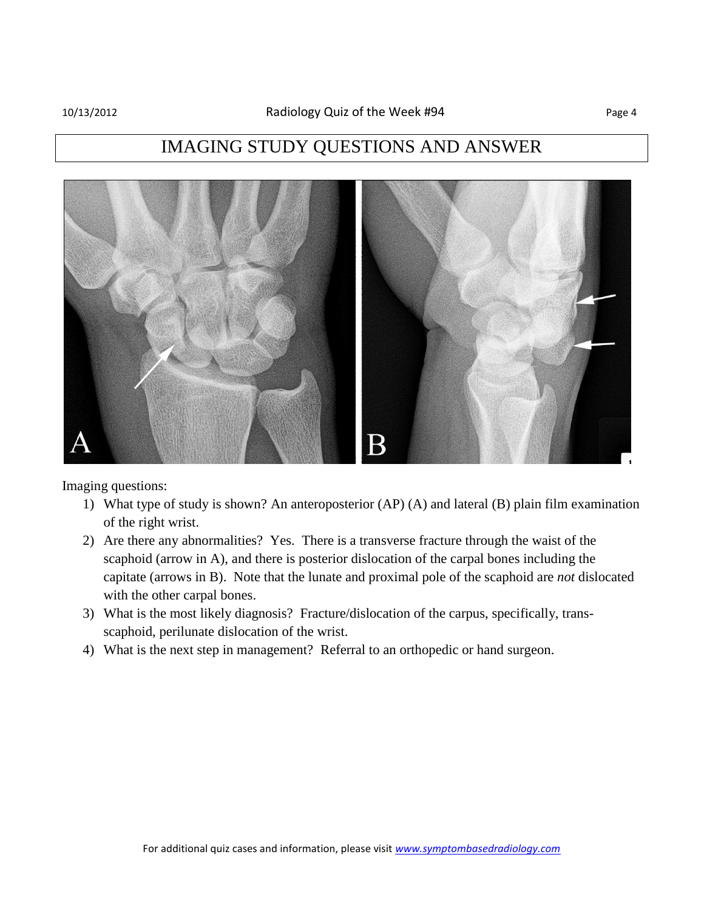# IMAGING STUDY QUESTIONS AND ANSWER



Imaging questions:

- 1) What type of study is shown? An anteroposterior (AP) (A) and lateral (B) plain film examination of the right wrist.
- 2) Are there any abnormalities? Yes. There is a transverse fracture through the waist of the scaphoid (arrow in A), and there is posterior dislocation of the carpal bones including the capitate (arrows in B). Note that the lunate and proximal pole of the scaphoid are *not* dislocated with the other carpal bones.
- 3) What is the most likely diagnosis? Fracture/dislocation of the carpus, specifically, transscaphoid, perilunate dislocation of the wrist.
- 4) What is the next step in management? Referral to an orthopedic or hand surgeon.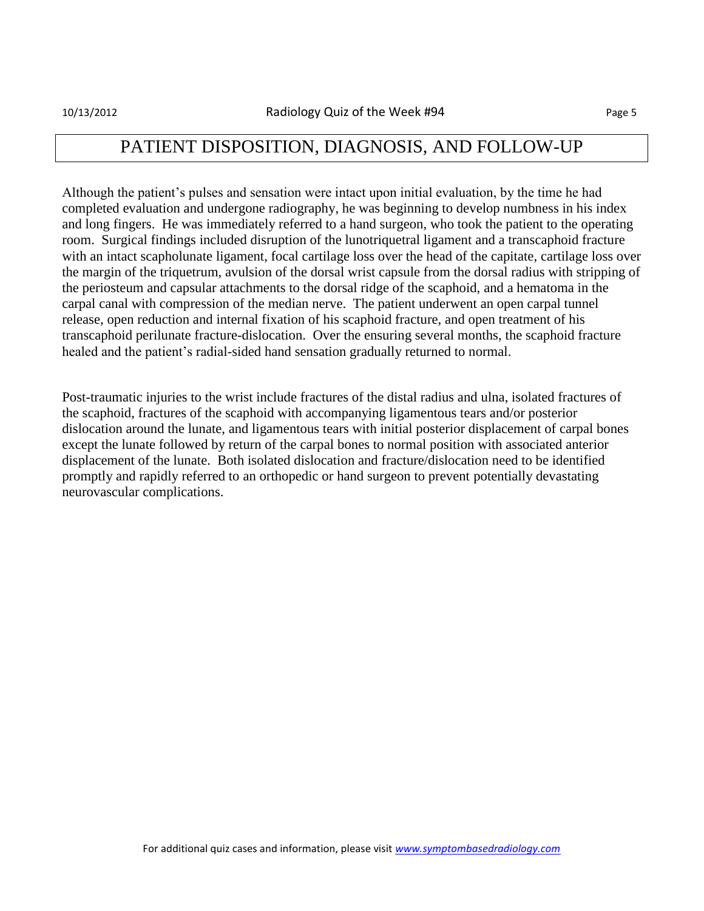## PATIENT DISPOSITION, DIAGNOSIS, AND FOLLOW-UP

Although the patient's pulses and sensation were intact upon initial evaluation, by the time he had completed evaluation and undergone radiography, he was beginning to develop numbness in his index and long fingers. He was immediately referred to a hand surgeon, who took the patient to the operating room. Surgical findings included disruption of the lunotriquetral ligament and a transcaphoid fracture with an intact scapholunate ligament, focal cartilage loss over the head of the capitate, cartilage loss over the margin of the triquetrum, avulsion of the dorsal wrist capsule from the dorsal radius with stripping of the periosteum and capsular attachments to the dorsal ridge of the scaphoid, and a hematoma in the carpal canal with compression of the median nerve. The patient underwent an open carpal tunnel release, open reduction and internal fixation of his scaphoid fracture, and open treatment of his transcaphoid perilunate fracture-dislocation. Over the ensuring several months, the scaphoid fracture healed and the patient's radial-sided hand sensation gradually returned to normal.

Post-traumatic injuries to the wrist include fractures of the distal radius and ulna, isolated fractures of the scaphoid, fractures of the scaphoid with accompanying ligamentous tears and/or posterior dislocation around the lunate, and ligamentous tears with initial posterior displacement of carpal bones except the lunate followed by return of the carpal bones to normal position with associated anterior displacement of the lunate. Both isolated dislocation and fracture/dislocation need to be identified promptly and rapidly referred to an orthopedic or hand surgeon to prevent potentially devastating neurovascular complications.